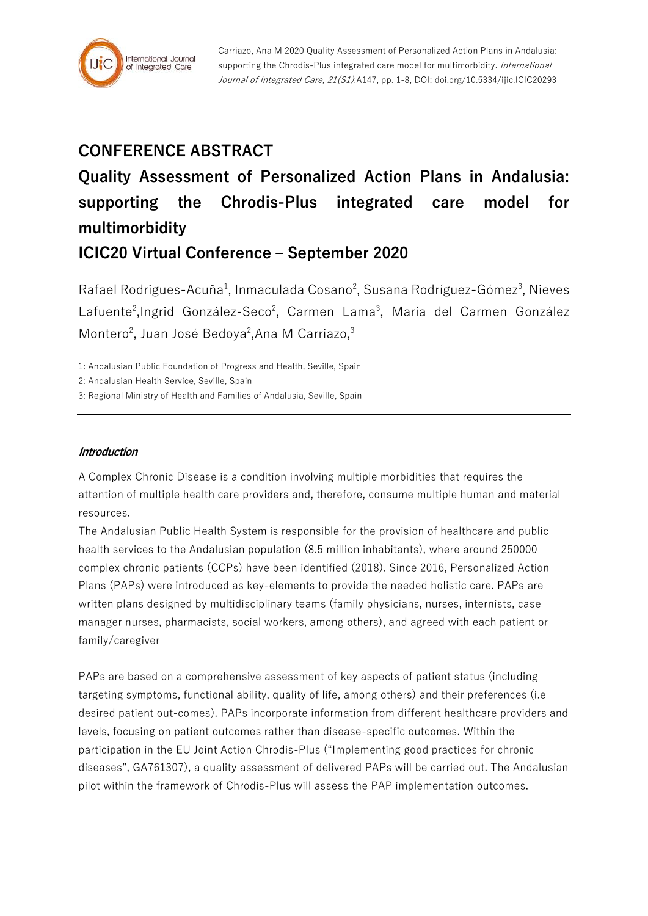# **CONFERENCE ABSTRACT**

# **Quality Assessment of Personalized Action Plans in Andalusia: supporting the Chrodis-Plus integrated care model for multimorbidity**

# **ICIC20 Virtual Conference – September 2020**

Rafael Rodrigues-Acuña<sup>1</sup>, Inmaculada Cosano<sup>2</sup>, Susana Rodríguez-Gómez<sup>3</sup>, Nieves Lafuente<sup>2</sup>, Ingrid González-Seco<sup>2</sup>, Carmen Lama<sup>3</sup>, María del Carmen González Montero<sup>2</sup>, Juan José Bedoya<sup>2</sup>, Ana M Carriazo,<sup>3</sup>

1: Andalusian Public Foundation of Progress and Health, Seville, Spain

2: Andalusian Health Service, Seville, Spain

3: Regional Ministry of Health and Families of Andalusia, Seville, Spain

## **Introduction**

A Complex Chronic Disease is a condition involving multiple morbidities that requires the attention of multiple health care providers and, therefore, consume multiple human and material resources.

The Andalusian Public Health System is responsible for the provision of healthcare and public health services to the Andalusian population (8.5 million inhabitants), where around 250000 complex chronic patients (CCPs) have been identified (2018). Since 2016, Personalized Action Plans (PAPs) were introduced as key-elements to provide the needed holistic care. PAPs are written plans designed by multidisciplinary teams (family physicians, nurses, internists, case manager nurses, pharmacists, social workers, among others), and agreed with each patient or family/caregiver

PAPs are based on a comprehensive assessment of key aspects of patient status (including targeting symptoms, functional ability, quality of life, among others) and their preferences (i.e desired patient out-comes). PAPs incorporate information from different healthcare providers and levels, focusing on patient outcomes rather than disease-specific outcomes. Within the participation in the EU Joint Action Chrodis-Plus ("Implementing good practices for chronic diseases", GA761307), a quality assessment of delivered PAPs will be carried out. The Andalusian pilot within the framework of Chrodis-Plus will assess the PAP implementation outcomes.